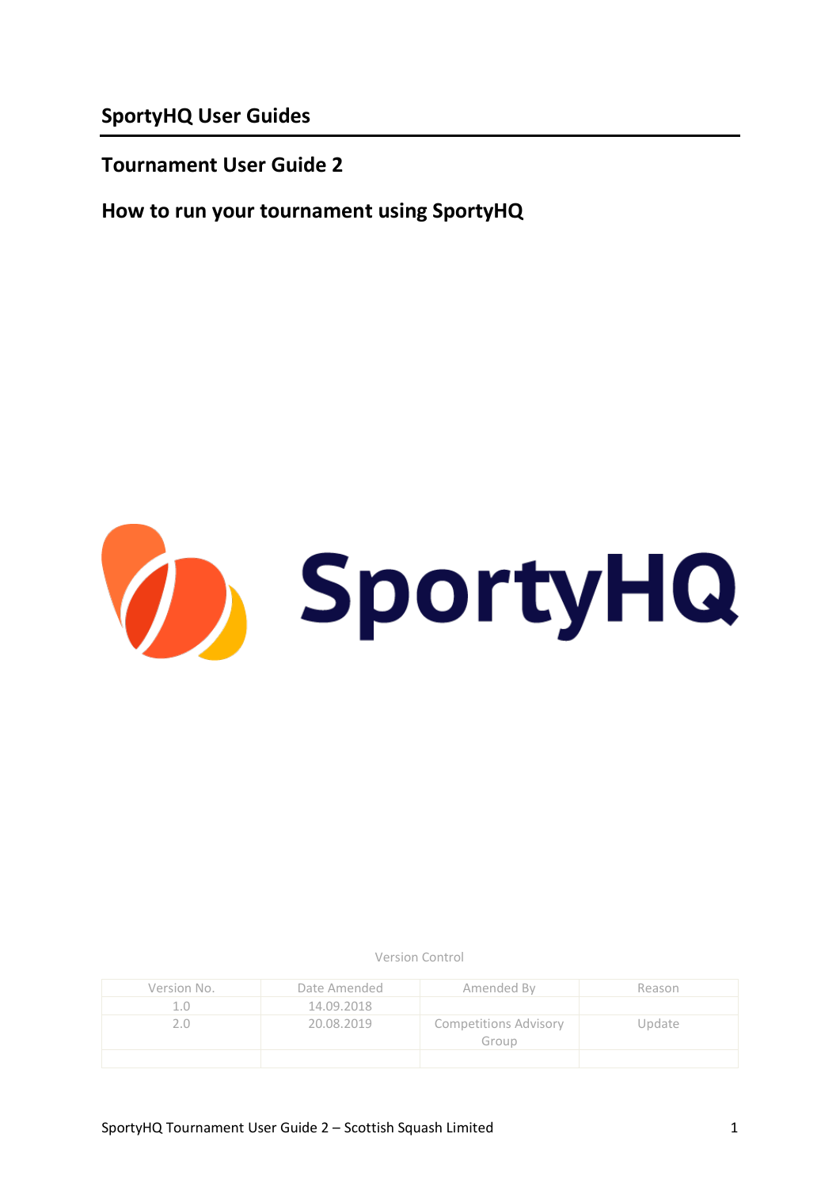**SportyHQ User Guides**

**Tournament User Guide 2**

**How to run your tournament using SportyHQ**



Version Control

| Version No. | Date Amended | Amended By                            | Reason |
|-------------|--------------|---------------------------------------|--------|
|             | 14.09.2018   |                                       |        |
|             | 20.08.2019   | <b>Competitions Advisory</b><br>Group | Update |
|             |              |                                       |        |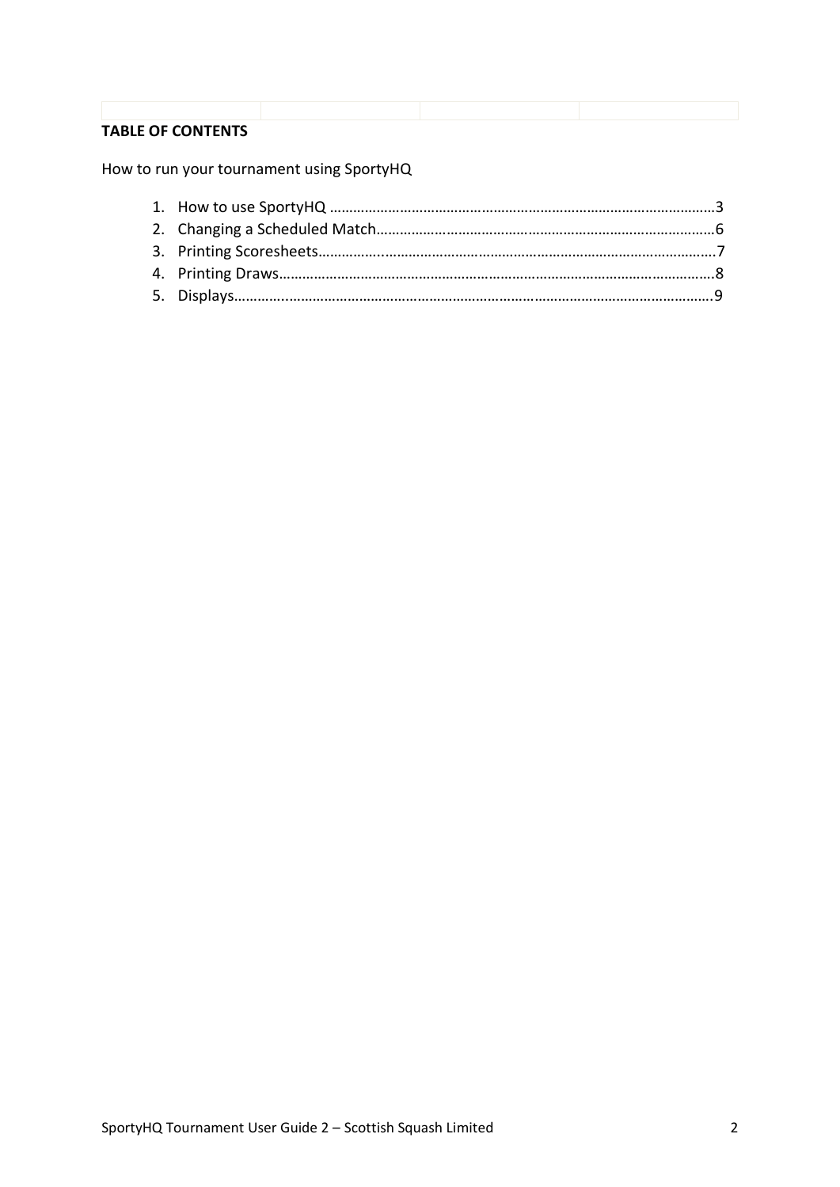# **TABLE OF CONTENTS**

How to run your tournament using SportyHQ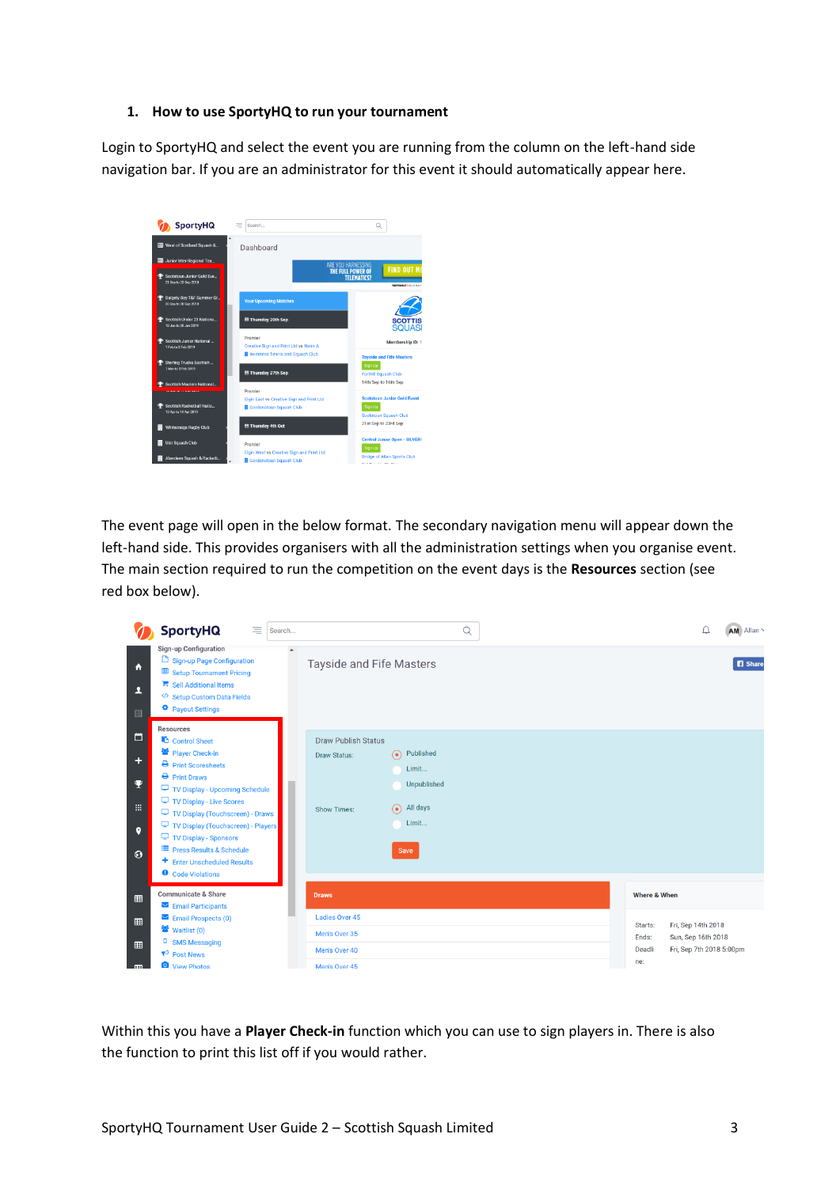#### **1. How to use SportyHQ to run your tournament**

Login to SportyHQ and select the event you are running from the column on the left-hand side navigation bar. If you are an administrator for this event it should automatically appear here.



The event page will open in the below format. The secondary navigation menu will appear down the left-hand side. This provides organisers with all the administration settings when you organise event. The main section required to run the competition on the event days is the **Resources** section (see red box below).

|                                          | <b>SportyHQ</b><br>$\equiv$<br>Search                                                                                                                                                                                                                                                                                                                                   | Q                                                                                                                                                        | AM Allan<br>Δ                                                        |
|------------------------------------------|-------------------------------------------------------------------------------------------------------------------------------------------------------------------------------------------------------------------------------------------------------------------------------------------------------------------------------------------------------------------------|----------------------------------------------------------------------------------------------------------------------------------------------------------|----------------------------------------------------------------------|
| A<br>ı<br>目                              | <b>Sign-up Configuration</b><br>Sign-up Page Configuration<br>Setup Tournament Pricing<br>Sell Additional Items<br>Setup Custom Data Fields<br>Payout Settings<br>Resources                                                                                                                                                                                             | <b>Tayside and Fife Masters</b>                                                                                                                          | <b>B</b> Share                                                       |
| 白<br>÷<br>Ψ<br>噩<br>$\bullet$<br>$\odot$ | Control Sheet<br>警 Player Check-in<br>$\rightarrow$ Print Scoresheets<br>$\rightarrow$ Print Draws<br>TV Display - Upcoming Schedule<br>TV Display - Live Scores<br>TV Display (Touchscreen) - Draws<br>TV Display (Touchscreen) - Players<br>TV Display - Sponsors<br><sup>■</sup> Press Results & Schedule<br>+ Enter Unscheduled Results<br><b>O</b> Code Violations | <b>Draw Publish Status</b><br>Published<br>$\odot$<br><b>Draw Status:</b><br>Limit<br>Unpublished<br>All days<br>$\odot$<br>Show Times:<br>Limit<br>Save |                                                                      |
| 囲                                        | <b>Communicate &amp; Share</b><br>Email Participants                                                                                                                                                                                                                                                                                                                    | Where & When<br><b>Draws</b>                                                                                                                             |                                                                      |
| 田<br>⊞<br>œ                              | $\blacktriangleright$ Email Prospects (0)<br>참 Waitlist (0)<br><sup>D</sup> SMS Messaging<br>$R^3$ Post News<br>View Photos                                                                                                                                                                                                                                             | <b>Ladies Over 45</b><br>Starts:<br>Men's Over 35<br>Ends:<br>Deadli<br>Men's Over 40<br>ne:<br>Men's Over 45                                            | Fri, Sep 14th 2018<br>Sun, Sep 16th 2018<br>Fri, Sep 7th 2018 5:00pm |

Within this you have a **Player Check-in** function which you can use to sign players in. There is also the function to print this list off if you would rather.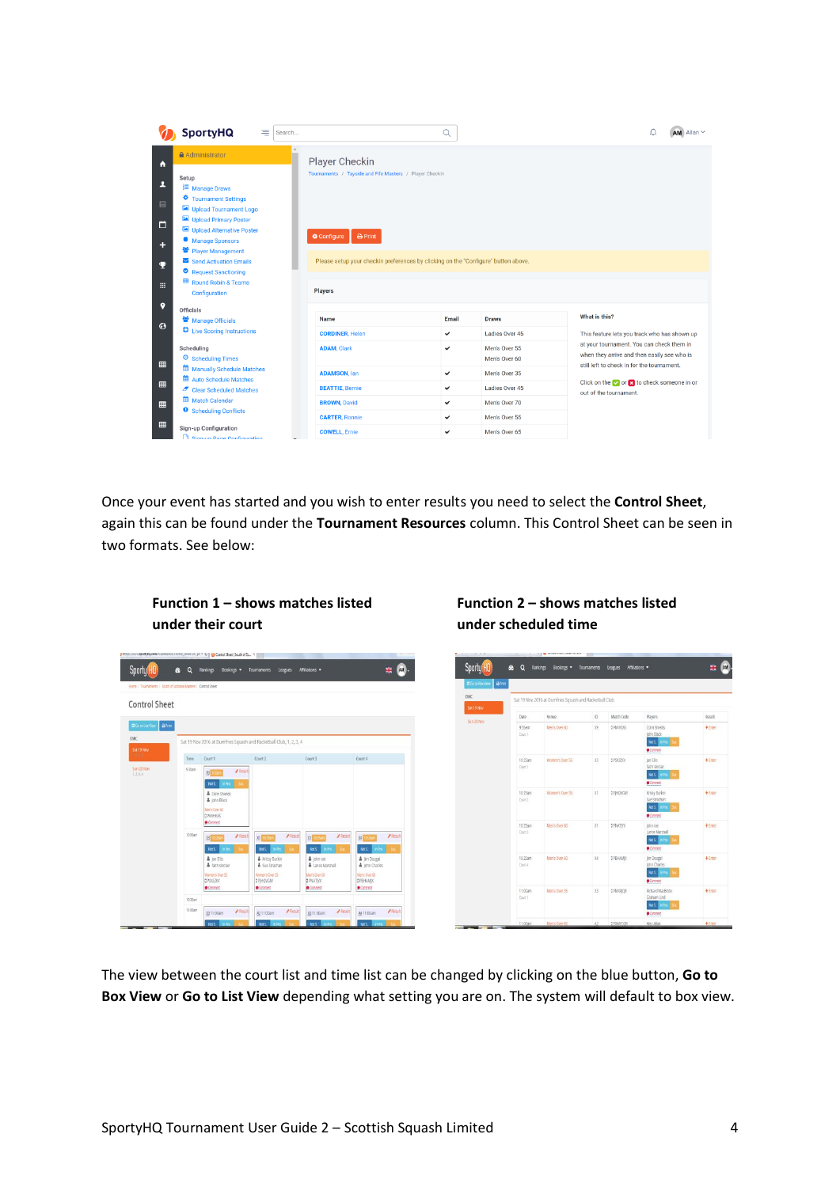|                            | <b>SportyHQ</b><br>$\equiv$<br>Search                                                                                                                                                                                                                                   |                                                                                                                                                                                 | Q            |                                | $AM$ Allan $\sim$                                                                                                                      |  |  |  |
|----------------------------|-------------------------------------------------------------------------------------------------------------------------------------------------------------------------------------------------------------------------------------------------------------------------|---------------------------------------------------------------------------------------------------------------------------------------------------------------------------------|--------------|--------------------------------|----------------------------------------------------------------------------------------------------------------------------------------|--|--|--|
| A                          | Administrator                                                                                                                                                                                                                                                           | Player Checkin                                                                                                                                                                  |              |                                |                                                                                                                                        |  |  |  |
| ı<br>目<br>白<br>÷<br>Q<br>噩 | Setup<br><b>E</b> Manage Draws<br>Tournament Settings<br>Upload Tournament Logo<br>Upload Primary Poster<br>Upload Alternative Poster<br>Manage Sponsors<br>警 Player Management<br>Send Activation Emails<br>Request Sanctioning<br><b>Round Robin &amp; Teams</b><br>囲 | Tournaments / Tayside and Fife Masters / Player Checkin<br>$\bigoplus$ Print<br>Configure<br>Please setup your checkin preferences by clicking on the "Configure" button above. |              |                                |                                                                                                                                        |  |  |  |
| 9                          | Configuration                                                                                                                                                                                                                                                           | <b>Players</b>                                                                                                                                                                  |              |                                |                                                                                                                                        |  |  |  |
| $\odot$                    | Officials<br>警 Manage Officials                                                                                                                                                                                                                                         | Name                                                                                                                                                                            | Email        | <b>Draws</b>                   | What is this?                                                                                                                          |  |  |  |
|                            | <b>C</b> Live Scoring Instructions                                                                                                                                                                                                                                      | <b>CORDINER, Helen</b>                                                                                                                                                          | ✓            | Ladies Over 45                 | This feature lets you track who has shown up                                                                                           |  |  |  |
| 田                          | Scheduling<br><b>O</b> Scheduling Times                                                                                                                                                                                                                                 | <b>ADAM, Clark</b>                                                                                                                                                              | $\checkmark$ | Men's Over 55<br>Men's Over 60 | at your tournament. You can check them in<br>when they arrive and then easily see who is<br>still left to check in for the tournament. |  |  |  |
|                            | <b>Manually Schedule Matches</b><br>Auto Schedule Matches                                                                                                                                                                                                               | <b>ADAMSON, lan</b>                                                                                                                                                             | $\checkmark$ | Men's Over 35                  |                                                                                                                                        |  |  |  |
| ⊞                          | Clear Scheduled Matches                                                                                                                                                                                                                                                 | <b>BEATTIE, Bernie</b>                                                                                                                                                          | ◡            | Ladies Over 45                 | Click on the $\sim$ or $\ge$ to check someone in or<br>out of the tournament.                                                          |  |  |  |
| 田                          | Match Calendar<br><b>9</b> Scheduling Conflicts                                                                                                                                                                                                                         | <b>BROWN, David</b>                                                                                                                                                             | ✓            | Men's Over 70                  |                                                                                                                                        |  |  |  |
| 田                          |                                                                                                                                                                                                                                                                         | <b>CARTER, Ronnie</b>                                                                                                                                                           | $\checkmark$ | Men's Over 55                  |                                                                                                                                        |  |  |  |
|                            | Sign-up Configuration<br>Signato Page Configuration                                                                                                                                                                                                                     | <b>COWELL, Ernie</b>                                                                                                                                                            | $\checkmark$ | Men's Over 65                  |                                                                                                                                        |  |  |  |

Once your event has started and you wish to enter results you need to select the **Control Sheet**, again this can be found under the **Tournament Resources** column. This Control Sheet can be seen in two formats. See below:

 $\mathbf{H}$   $\mathbf{M}$ .



sil Club 1.2.3 d

 $P$ las  $4311$  COar **A** Result A411-00am

Sporty HO

**Control Sheet** 

 $a^{\dagger}$ 

| Sporty HQ                           | $\alpha$<br>£                 | Bookings .<br>Rankings                                 | Tournaments            | Leagues         | Affiliations .                                                       | 翡         |
|-------------------------------------|-------------------------------|--------------------------------------------------------|------------------------|-----------------|----------------------------------------------------------------------|-----------|
| <b>A</b> Print<br>El Go to Box View |                               |                                                        |                        |                 |                                                                      |           |
| DSRC<br>Sat 19 Nov                  |                               | Sat 19 Nov 2016 at Dumfries Squash and Racketball Club |                        |                 |                                                                      |           |
| Sun 20 Nov                          | Date                          | Venue                                                  | 10                     | Match Code      | <b>Players</b>                                                       | Result    |
|                                     | 9.55am<br>Court II            | Men's Over 60                                          | X9                     | <b>OPMIHEAS</b> | Colin Shields<br><b>John Black</b><br>Not5. In Pro.<br>O(nn)         | $+$ Enter |
|                                     | 10.2Sam<br>Count <sup>1</sup> | Women's Over 55                                        | X3                     | DPSAIZKV        | Jan Ellis<br>faith sinclair<br>Nots In Pro-<br>Corrererf             | $+$ Enter |
|                                     | 10:25am<br>Court 2            | Women's Over 35                                        | X                      | OPHOVGM         | Krissy Burkin<br>Sue Strachan<br>Not5. In Pro.<br>$\bigcirc$ Comment | $+$ Errer |
|                                     | 10:25am<br>Court 3.           | Merrs Over 60                                          | X1                     | <b>OPNATIOL</b> | john rae<br>Lance Marshall<br>Nots. In Pro.<br>$\bullet$ Convert     | $+$ Enter |
|                                     | 10:25am<br>Court 4            | Men's Over 60                                          | X4                     | DPEHAMX         | Jim Dougal<br><b>Iohn Charles</b><br>Not5. Im Pro.<br>Connert        | $+$ Ester |
|                                     | 11:00am<br>Court 1            | Men's Over 35                                          | X3                     | <b>SPMXRIOB</b> | Richard MacBride<br>Graham Lind<br>Not5. In Fro.<br>$O$ Commerc      | $+$ Ester |
| <b>THE SAN</b>                      | 11:00am                       | Merrs Over 65                                          | $\Lambda$ <sub>2</sub> | OPIANCOR        | Alex Allan                                                           | $+$ Error |

The view between the court list and time list can be changed by clicking on the blue button, **Go to Box View** or **Go to List View** depending what setting you are on. The system will default to box view.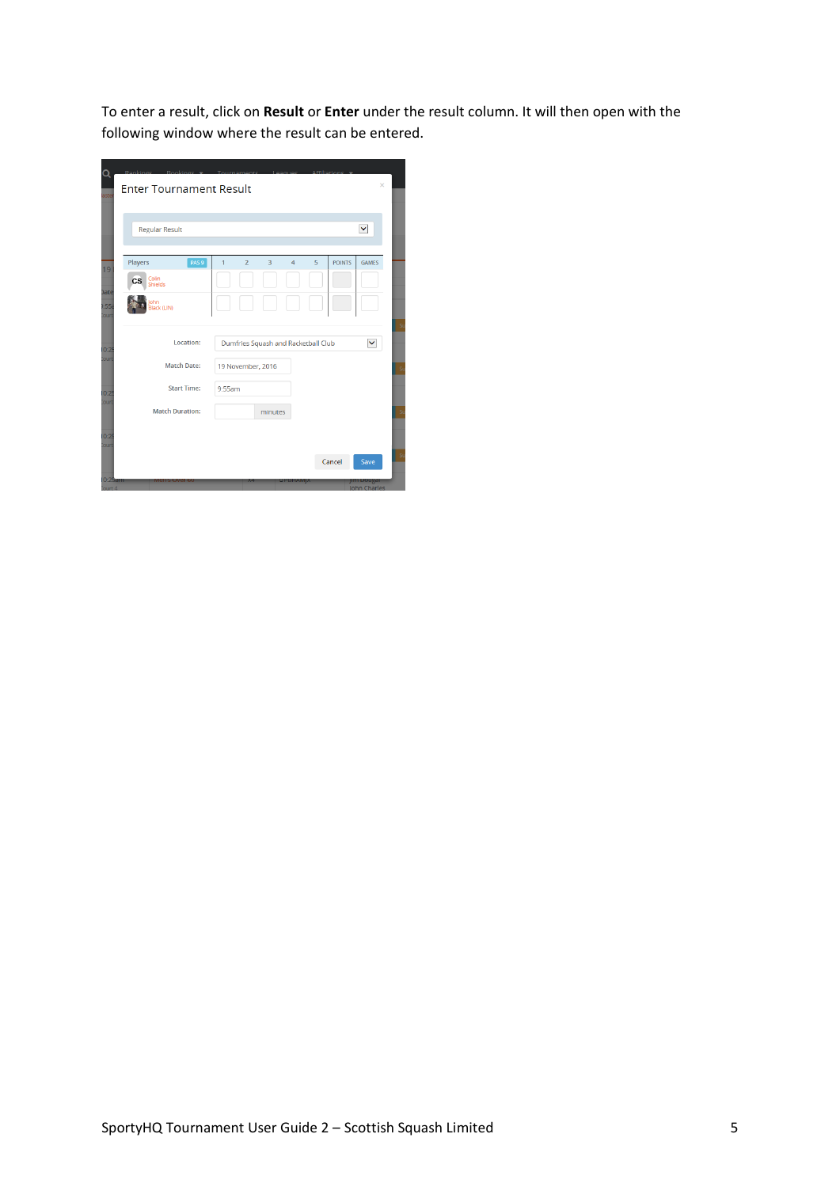To enter a result, click on **Result** or **Enter** under the result column. It will then open with the following window where the result can be entered.

| <b>Regular Result</b>                |                                                              | M                             |
|--------------------------------------|--------------------------------------------------------------|-------------------------------|
|                                      |                                                              |                               |
| PAS <sub>9</sub><br>Players          | $\overline{2}$<br>$\overline{3}$<br>$\overline{4}$<br>5<br>1 | <b>POINTS</b><br><b>GAMES</b> |
| Colin<br><b>CS</b><br><b>Shields</b> |                                                              |                               |
| John<br>Black (LIN)                  |                                                              |                               |
|                                      |                                                              |                               |
| Location:                            | Dumfries Squash and Racketball Club                          | M                             |
| <b>Match Date:</b>                   | 19 November, 2016                                            |                               |
| <b>Start Time:</b>                   | 9:55am                                                       |                               |
| <b>Match Duration:</b>               | minutes                                                      |                               |
|                                      |                                                              |                               |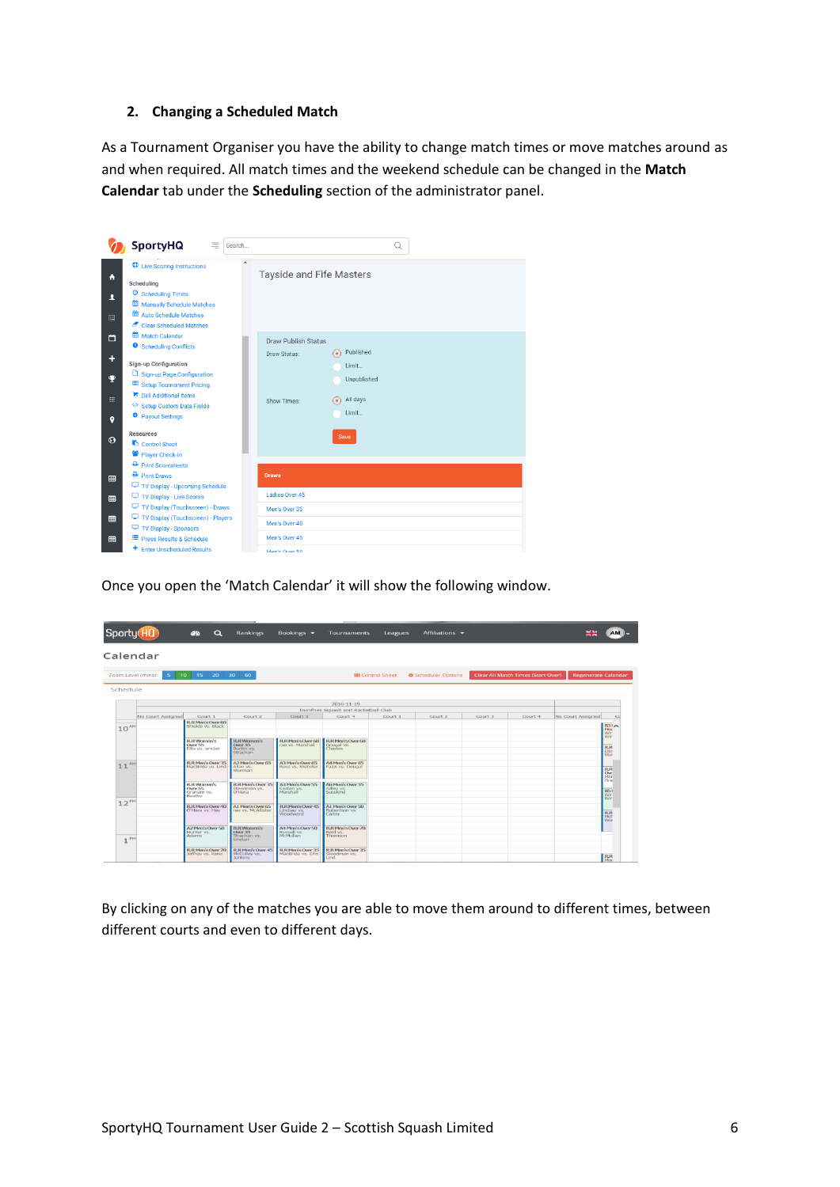#### **2. Changing a Scheduled Match**

As a Tournament Organiser you have the ability to change match times or move matches around as and when required. All match times and the weekend schedule can be changed in the **Match Calendar** tab under the **Scheduling** section of the administrator panel.



Once you open the 'Match Calendar' it will show the following window.

| Sporty(HO)         |                   | $\alpha$<br><b>CO</b>                                                | Rankings                                                          | Bookings v                                          | <b>Tournaments</b>                               | <b>Leagues</b>           | Affiliations $\blacktriangleright$ |         |                                           | <b>NGC</b><br>$-1$         | AM L                                    |
|--------------------|-------------------|----------------------------------------------------------------------|-------------------------------------------------------------------|-----------------------------------------------------|--------------------------------------------------|--------------------------|------------------------------------|---------|-------------------------------------------|----------------------------|-----------------------------------------|
| Calendar           |                   |                                                                      |                                                                   |                                                     |                                                  |                          |                                    |         |                                           |                            |                                         |
| Zoom Level (mins): | -5                | 15<br>20<br>$10-10$                                                  | $-30$<br>-60                                                      |                                                     |                                                  | <b>III</b> Control Sheet | <b>©</b> Scheduler Options         |         | <b>Clear All Match Times (Start Over)</b> | <b>Regenerate Calendar</b> |                                         |
| Schedule           |                   |                                                                      |                                                                   |                                                     |                                                  |                          |                                    |         |                                           |                            |                                         |
|                    |                   |                                                                      |                                                                   |                                                     | $2016 - 11 - 19$                                 |                          |                                    |         |                                           |                            |                                         |
|                    |                   |                                                                      |                                                                   |                                                     | Dumfries Squash and Racketball Club              |                          |                                    |         |                                           |                            |                                         |
|                    | No Court Assigned | Court 1                                                              | Court 2                                                           | Court 3                                             | Court 4                                          | Court 1                  | Court 2                            | Court 3 | Court 4                                   | No Court Assigned          | $C_{\mathbb{C}}$                        |
| $10^{4M}$          |                   | <b>B.R.Men's Over 60</b><br>Shields vs. Black                        |                                                                   |                                                     |                                                  |                          |                                    |         |                                           |                            | R31A<br>First<br>Wir                    |
|                    |                   | <b>R.R. Women's</b><br>Over 55<br>Ellis ys, sinclair                 | <b>R.R. Women's</b><br><b>Over 35</b><br>Burkin vs.<br>Strachan   | <b>R.R.Men's Over 60</b><br>rae ys. Marshall        | R.R. Men's Over 60<br>Dougal vs.<br>Charles      |                          |                                    |         |                                           |                            | Wir<br><b>RR</b><br>Ellis<br><b>Sto</b> |
| AM<br>11           |                   | <b>R.R.Men's Over 35</b><br>MacBride vs. Lind                        | A2 Men's Over 65<br>Allan ys.<br>Sturman                          | A3 Men's Over 65<br>Ross vs. Webster                | A4 Men's Over 65<br>Fazzi vs. Dougal             |                          |                                    |         |                                           |                            | <b>RR</b><br>Ow<br>Mar                  |
|                    |                   | <b>R.R.Women's</b><br><b>Over 55</b><br>Graham vs.<br><b>Boattle</b> | <b>B.R.Merr's Over 35</b><br>Steedman vs.<br>O'Hara               | A'll Mem's Over 55<br>Easton vs.<br>Marshall        | AG Mem's Over 55<br>ridley vs.<br>Susskind       |                          |                                    |         |                                           |                            | Gra<br><b>B51</b><br>Wir                |
| $12^{P}$           |                   | <b>R.R.Men's Over 40</b><br>O'Hara vs. Hay                           | A1 Men's Over 65<br>rae vs. McAllister                            | <b>R.R.Men's Over 45</b><br>Lindsay ys.<br>Woodward | A1 Men's Over 50<br>Robertson vs.<br>Carter      |                          |                                    |         |                                           |                            | <b>R.R</b><br><b>Wo</b>                 |
| PM                 |                   | A2 Men's Over 50<br>Hunter <sub>vs</sub><br>Adams                    | <b>R.R. Women's</b><br><b>Over 35</b><br>Strachan ys.<br>Sinclair | A4 Men's Over 50<br>Russell vs.<br>McMullan         | <b>R.R.Men's Over 70</b><br>Reid vs.<br>Thomson  |                          |                                    |         |                                           |                            |                                         |
|                    |                   | <b>R.R.Men's Over 70</b><br>Jeffrey vs. kane                         | <b>R.R.Men's Over 45</b><br>McCulley ys.<br><b>Jenkins</b>        | <b>R.R.Men's Over 35</b><br>MacBride vs. Ellis      | <b>R.R.Men's Over 35</b><br>Steedman vs.<br>Lind |                          |                                    |         |                                           |                            | <b>RR</b><br>Mar                        |

By clicking on any of the matches you are able to move them around to different times, between different courts and even to different days.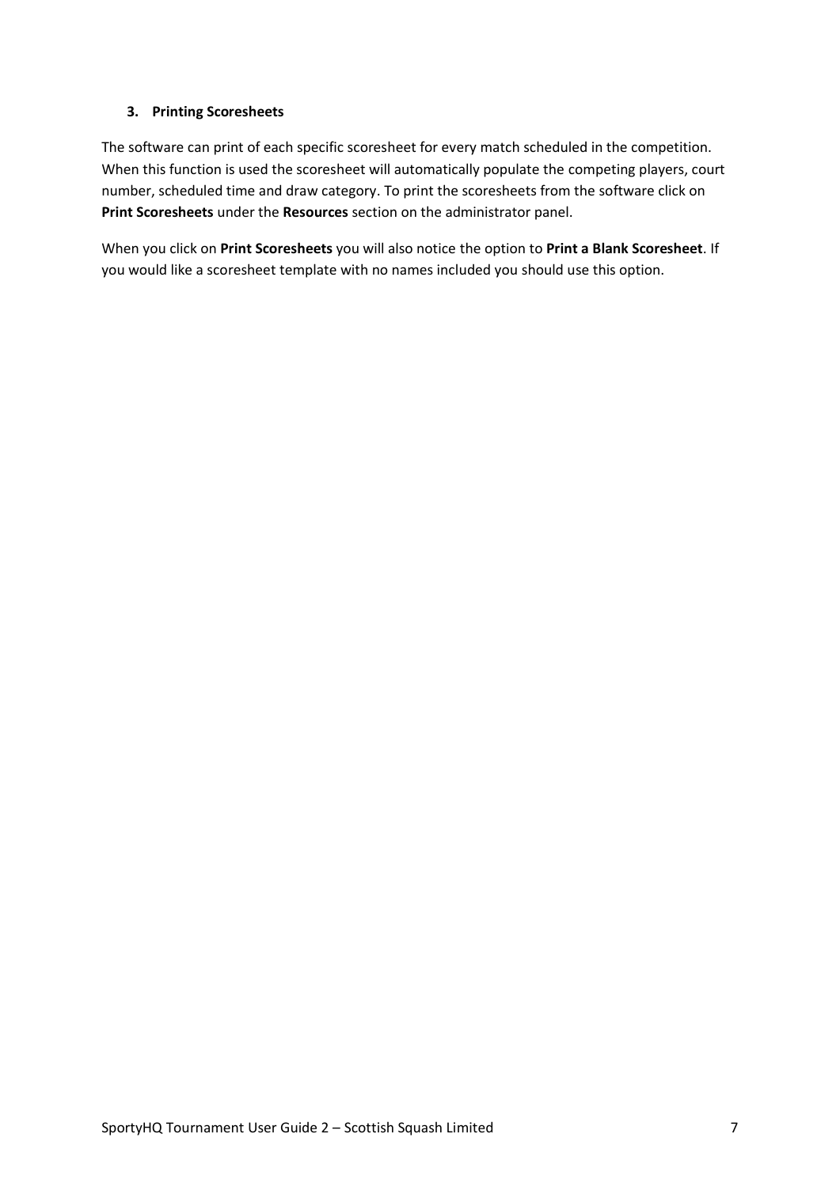# **3. Printing Scoresheets**

The software can print of each specific scoresheet for every match scheduled in the competition. When this function is used the scoresheet will automatically populate the competing players, court number, scheduled time and draw category. To print the scoresheets from the software click on **Print Scoresheets** under the **Resources** section on the administrator panel.

When you click on **Print Scoresheets** you will also notice the option to **Print a Blank Scoresheet**. If you would like a scoresheet template with no names included you should use this option.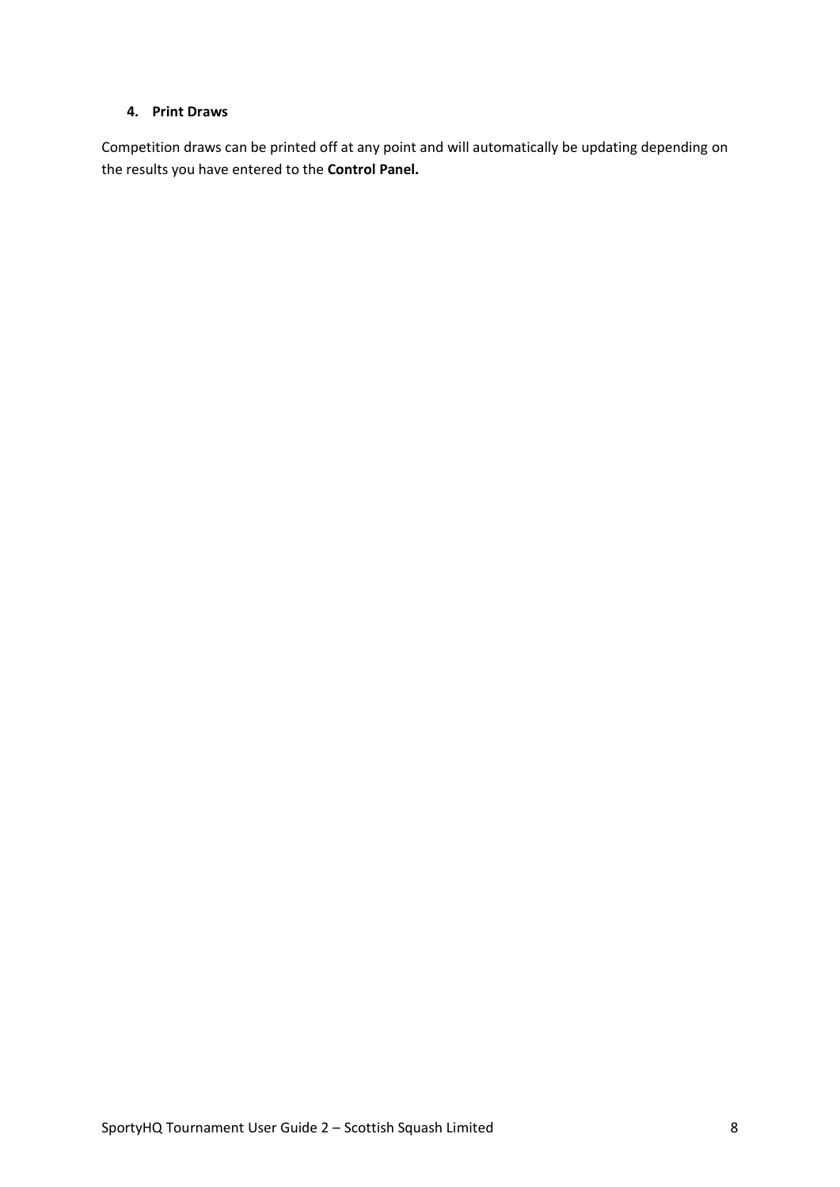#### **4. Print Draws**

Competition draws can be printed off at any point and will automatically be updating depending on the results you have entered to the **Control Panel.**